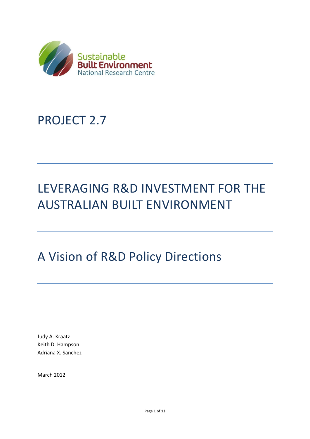

## PROJECT 2.7

# LEVERAGING R&D INVESTMENT FOR THE AUSTRALIAN BUILT ENVIRONMENT

## A Vision of R&D Policy Directions

Judy A. Kraatz Keith D. Hampson Adriana X. Sanchez

March 2012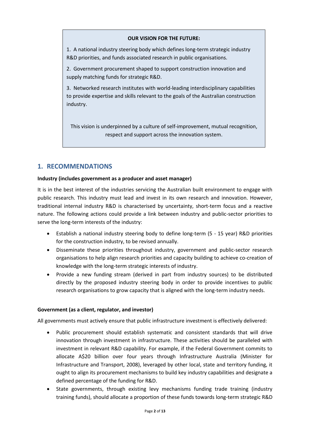#### **OUR VISION FOR THE FUTURE:**

1. A national industry steering body which defines long-term strategic industry R&D priorities, and funds associated research in public organisations.

2. Government procurement shaped to support construction innovation and supply matching funds for strategic R&D.

3. Networked research institutes with world-leading interdisciplinary capabilities to provide expertise and skills relevant to the goals of the Australian construction industry.

This vision is underpinned by a culture of self-improvement, mutual recognition, respect and support across the innovation system.

## **1. RECOMMENDATIONS**

#### **Industry (includes government as a producer and asset manager)**

It is in the best interest of the industries servicing the Australian built environment to engage with public research. This industry must lead and invest in its own research and innovation. However, traditional internal industry R&D is characterised by uncertainty, short-term focus and a reactive nature. The following actions could provide a link between industry and public-sector priorities to serve the long-term interests of the industry:

- Establish a national industry steering body to define long-term (5 15 year) R&D priorities for the construction industry, to be revised annually.
- Disseminate these priorities throughout industry, government and public-sector research organisations to help align research priorities and capacity building to achieve co-creation of knowledge with the long-term strategic interests of industry.
- Provide a new funding stream (derived in part from industry sources) to be distributed directly by the proposed industry steering body in order to provide incentives to public research organisations to grow capacity that is aligned with the long-term industry needs.

#### **Government (as a client, regulator, and investor)**

All governments must actively ensure that public infrastructure investment is effectively delivered:

- Public procurement should establish systematic and consistent standards that will drive innovation through investment in infrastructure. These activities should be paralleled with investment in relevant R&D capability. For example, if the Federal Government commits to allocate A\$20 billion over four years through Infrastructure Australia (Minister for Infrastructure and Transport, 2008), leveraged by other local, state and territory funding, it ought to align its procurement mechanisms to build key industry capabilities and designate a defined percentage of the funding for R&D.
- State governments, through existing levy mechanisms funding trade training (industry training funds), should allocate a proportion of these funds towards long-term strategic R&D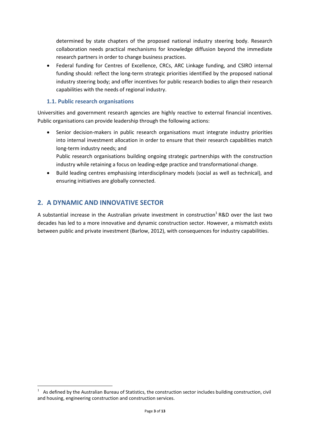determined by state chapters of the proposed national industry steering body. Research collaboration needs practical mechanisms for knowledge diffusion beyond the immediate research partners in order to change business practices.

 Federal funding for Centres of Excellence, CRCs, ARC Linkage funding, and CSIRO internal funding should: reflect the long-term strategic priorities identified by the proposed national industry steering body; and offer incentives for public research bodies to align their research capabilities with the needs of regional industry.

## **1.1. Public research organisations**

Universities and government research agencies are highly reactive to external financial incentives. Public organisations can provide leadership through the following actions:

 Senior decision-makers in public research organisations must integrate industry priorities into internal investment allocation in order to ensure that their research capabilities match long-term industry needs; and Public research organisations building ongoing strategic partnerships with the construction

industry while retaining a focus on leading-edge practice and transformational change.

 Build leading centres emphasising interdisciplinary models (social as well as technical), and ensuring initiatives are globally connected.

## **2. A DYNAMIC AND INNOVATIVE SECTOR**

**.** 

A substantial increase in the Australian private investment in construction<sup>1</sup> R&D over the last two decades has led to a more innovative and dynamic construction sector. However, a mismatch exists between public and private investment (Barlow, 2012), with consequences for industry capabilities.

<sup>1</sup> As defined by the Australian Bureau of Statistics, the construction sector includes building construction, civil and housing, engineering construction and construction services.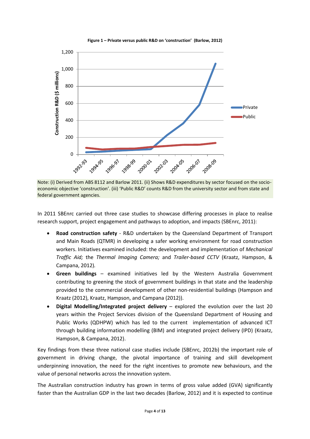

**Figure 1 – Private versus public R&D on 'construction' (Barlow, 2012)**

Note: (i) Derived from ABS 8112 and Barlow 2011. (ii) Shows R&D expenditures by sector focused on the socioeconomic objective 'construction'. (iii) 'Public R&D' counts R&D from the university sector and from state and federal government agencies.

In 2011 SBEnrc carried out three case studies to showcase differing processes in place to realise research support, project engagement and pathways to adoption, and impacts (SBEnrc, 2011):

- **Road construction safety** R&D undertaken by the Queensland Department of Transport and Main Roads (QTMR) in developing a safer working environment for road construction workers. Initiatives examined included: the development and implementation of *Mechanical Traffic Aid;* the *Thermal Imaging Camera;* and *Trailer-based CCTV* (Kraatz, Hampson, & Campana, 2012)*.*
- **Green buildings** examined initiatives led by the Western Australia Government contributing to greening the stock of government buildings in that state and the leadership provided to the commercial development of other non-residential buildings (Hampson and Kraatz (2012), Kraatz, Hampson, and Campana (2012)).
- **Digital Modelling/Integrated project delivery** explored the evolution over the last 20 years within the Project Services division of the Queensland Department of Housing and Public Works (QDHPW) which has led to the current implementation of advanced ICT through building information modelling (BIM) and integrated project delivery (IPD) (Kraatz, Hampson, & Campana, 2012).

Key findings from these three national case studies include (SBEnrc, 2012b) the important role of government in driving change, the pivotal importance of training and skill development underpinning innovation, the need for the right incentives to promote new behaviours, and the value of personal networks across the innovation system.

The Australian construction industry has grown in terms of gross value added (GVA) significantly faster than the Australian GDP in the last two decades (Barlow, 2012) and it is expected to continue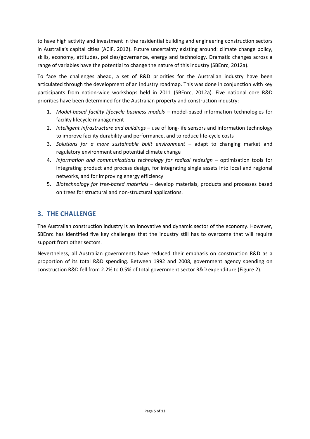to have high activity and investment in the residential building and engineering construction sectors in Australia's capital cities (ACIF, 2012). Future uncertainty existing around: climate change policy, skills, economy, attitudes, policies/governance, energy and technology. Dramatic changes across a range of variables have the potential to change the nature of this industry (SBEnrc, 2012a).

To face the challenges ahead, a set of R&D priorities for the Australian industry have been articulated through the development of an industry roadmap. This was done in conjunction with key participants from nation-wide workshops held in 2011 (SBEnrc, 2012a). Five national core R&D priorities have been determined for the Australian property and construction industry:

- 1. *Model-based facility lifecycle business models* model-based information technologies for facility lifecycle management
- 2. *Intelligent infrastructure and buildings* use of long-life sensors and information technology to improve facility durability and performance, and to reduce life-cycle costs
- 3. *Solutions for a more sustainable built environment* adapt to changing market and regulatory environment and potential climate change
- 4. *Information and communications technology for radical redesign* optimisation tools for integrating product and process design, for integrating single assets into local and regional networks, and for improving energy efficiency
- 5. *Biotechnology for tree-based materials* develop materials, products and processes based on trees for structural and non-structural applications.

## **3. THE CHALLENGE**

The Australian construction industry is an innovative and dynamic sector of the economy. However, SBEnrc has identified five key challenges that the industry still has to overcome that will require support from other sectors.

Nevertheless, all Australian governments have reduced their emphasis on construction R&D as a proportion of its total R&D spending. Between 1992 and 2008, government agency spending on construction R&D fell from 2.2% to 0.5% of total government sector R&D expenditure [\(Figure 2\)](#page-5-0).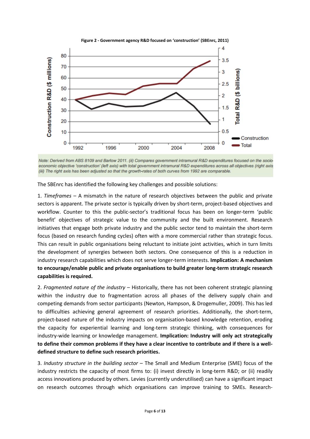<span id="page-5-0"></span>

Note: Derived from ABS 8109 and Barlow 2011. (ii) Compares government intramural R&D expenditures focused on the socioeconomic objective 'construction' (left axis) with total government intramural R&D expenditures across all objectives (right axis (iii) The right axis has been adjusted so that the growth-rates of both curves from 1992 are comparable.

The SBEnrc has identified the following key challenges and possible solutions:

1. *Timeframes* – A mismatch in the nature of research objectives between the public and private sectors is apparent. The private sector is typically driven by short-term, project-based objectives and workflow. Counter to this the public-sector's traditional focus has been on longer-term 'public benefit' objectives of strategic value to the community and the built environment. Research initiatives that engage both private industry and the public sector tend to maintain the short-term focus (based on research funding cycles) often with a more commercial rather than strategic focus. This can result in public organisations being reluctant to initiate joint activities, which in turn limits the development of synergies between both sectors. One consequence of this is a reduction in industry research capabilities which does not serve longer-term interests. **Implication: A mechanism to encourage/enable public and private organisations to build greater long-term strategic research capabilities is required.**

2. *Fragmented nature of the industry* – Historically, there has not been coherent strategic planning within the industry due to fragmentation across all phases of the delivery supply chain and competing demands from sector participants (Newton, Hampson, & Drogemuller, 2009). This has led to difficulties achieving general agreement of research priorities. Additionally, the short-term, project-based nature of the industry impacts on organisation-based knowledge retention, eroding the capacity for experiential learning and long-term strategic thinking, with consequences for industry-wide learning or knowledge management. **Implication: Industry will only act strategically to define their common problems if they have a clear incentive to contribute and if there is a welldefined structure to define such research priorities.**

3. *Industry structure in the building sector* – The Small and Medium Enterprise (SME) focus of the industry restricts the capacity of most firms to: (i) invest directly in long-term R&D; or (ii) readily access innovations produced by others. Levies (currently underutilised) can have a significant impact on research outcomes through which organisations can improve training to SMEs. Research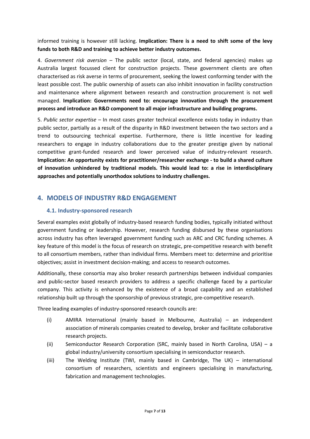informed training is however still lacking. **Implication: There is a need to shift some of the levy funds to both R&D and training to achieve better industry outcomes.** 

4. *Government risk aversion* – The public sector (local, state, and federal agencies) makes up Australia largest focussed client for construction projects. These government clients are often characterised as risk averse in terms of procurement, seeking the lowest conforming tender with the least possible cost. The public ownership of assets can also inhibit innovation in facility construction and maintenance where alignment between research and construction procurement is not well managed. **Implication: Governments need to: encourage innovation through the procurement process and introduce an R&D component to all major infrastructure and building programs.**

5. *Public sector expertise* – In most cases greater technical excellence exists today in industry than public sector, partially as a result of the disparity in R&D investment between the two sectors and a trend to outsourcing technical expertise. Furthermore, there is little incentive for leading researchers to engage in industry collaborations due to the greater prestige given by national competitive grant-funded research and lower perceived value of industry-relevant research. **Implication: An opportunity exists for practitioner/researcher exchange - to build a shared culture of innovation unhindered by traditional models. This would lead to: a rise in interdisciplinary approaches and potentially unorthodox solutions to industry challenges.**

## **4. MODELS OF INDUSTRY R&D ENGAGEMENT**

## **4.1. Industry-sponsored research**

Several examples exist globally of industry-based research funding bodies, typically initiated without government funding or leadership. However, research funding disbursed by these organisations across industry has often leveraged government funding such as ARC and CRC funding schemes. A key feature of this model is the focus of research on strategic, pre-competitive research with benefit to all consortium members, rather than individual firms. Members meet to: determine and prioritise objectives; assist in investment decision-making; and access to research outcomes.

Additionally, these consortia may also broker research partnerships between individual companies and public-sector based research providers to address a specific challenge faced by a particular company. This activity is enhanced by the existence of a broad capability and an established relationship built up through the sponsorship of previous strategic, pre-competitive research.

Three leading examples of industry-sponsored research councils are:

- (i) AMIRA International (mainly based in Melbourne, Australia) an independent association of minerals companies created to develop, broker and facilitate collaborative research projects.
- (ii) Semiconductor Research Corporation (SRC, mainly based in North Carolina, USA) a global industry/university consortium specialising in semiconductor research.
- (iii) The Welding Institute (TWI, mainly based in Cambridge, The UK) international consortium of researchers, scientists and engineers specialising in manufacturing, fabrication and management technologies.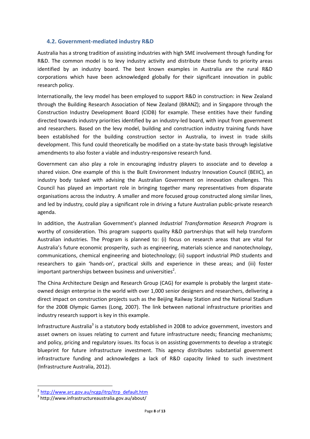#### **4.2. Government-mediated industry R&D**

Australia has a strong tradition of assisting industries with high SME involvement through funding for R&D. The common model is to levy industry activity and distribute these funds to priority areas identified by an industry board. The best known examples in Australia are the rural R&D corporations which have been acknowledged globally for their significant innovation in public research policy.

Internationally, the levy model has been employed to support R&D in construction: in New Zealand through the Building Research Association of New Zealand (BRANZ); and in Singapore through the Construction Industry Development Board (CIDB) for example. These entities have their funding directed towards industry priorities identified by an industry-led board, with input from government and researchers. Based on the levy model, building and construction industry training funds have been established for the building construction sector in Australia, to invest in trade skills development. This fund could theoretically be modified on a state-by-state basis through legislative amendments to also foster a viable and industry-responsive research fund.

Government can also play a role in encouraging industry players to associate and to develop a shared vision. One example of this is the Built Environment Industry Innovation Council (BEIIC), an industry body tasked with advising the Australian Government on innovation challenges. This Council has played an important role in bringing together many representatives from disparate organisations across the industry. A smaller and more focused group constructed along similar lines, and led by industry, could play a significant role in driving a future Australian public-private research agenda.

In addition, the Australian Government's planned *Industrial Transformation Research Program* is worthy of consideration. This program supports quality R&D partnerships that will help transform Australian industries. The Program is planned to: (i) focus on research areas that are vital for Australia's future economic prosperity, such as engineering, materials science and nanotechnology, communications, chemical engineering and biotechnology; (ii) support industrial PhD students and researchers to gain 'hands-on', practical skills and experience in these areas; and (iii) foster important partnerships between business and universities<sup>2</sup>.

The China Architecture Design and Research Group (CAG) for example is probably the largest stateowned design enterprise in the world with over 1,000 senior designers and researchers, delivering a direct impact on construction projects such as the Beijing Railway Station and the National Stadium for the 2008 Olympic Games (Long, 2007). The link between national infrastructure priorities and industry research support is key in this example.

Infrastructure Australia<sup>3</sup> is a statutory body established in 2008 to advice government, investors and asset owners on issues relating to current and future infrastructure needs; financing mechanisms; and policy, pricing and regulatory issues. Its focus is on assisting governments to develop a strategic blueprint for future infrastructure investment. This agency distributes substantial government infrastructure funding and acknowledges a lack of R&D capacity linked to such investment (Infrastructure Australia, 2012).

**.** 

<sup>&</sup>lt;sup>2</sup> [http://www.arc.gov.au/ncgp/itrp/itrp\\_default.htm](http://www.arc.gov.au/ncgp/itrp/itrp_default.htm)

<sup>3</sup> http://www.infrastructureaustralia.gov.au/about/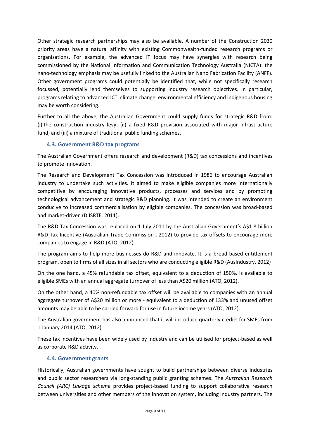Other strategic research partnerships may also be available. A number of the Construction 2030 priority areas have a natural affinity with existing Commonwealth-funded research programs or organisations. For example, the advanced IT focus may have synergies with research being commissioned by the National Information and Communication Technology Australia (NICTA): the nano-technology emphasis may be usefully linked to the Australian Nano Fabrication Facility (ANFF). Other government programs could potentially be identified that, while not specifically research focussed, potentially lend themselves to supporting industry research objectives. In particular, programs relating to advanced ICT, climate change, environmental efficiency and indigenous housing may be worth considering.

Further to all the above, the Australian Government could supply funds for strategic R&D from: (i) the construction industry levy; (ii) a fixed R&D provision associated with major infrastructure fund; and (iii) a mixture of traditional public funding schemes.

## **4.3. Government R&D tax programs**

The Australian Government offers research and development (R&D) tax concessions and incentives to promote innovation.

The Research and Development Tax Concession was introduced in 1986 to encourage Australian industry to undertake such activities. It aimed to make eligible companies more internationally competitive by encouraging innovative products, processes and services and by promoting technological advancement and strategic R&D planning. It was intended to create an environment conducive to increased commercialisation by eligible companies. The concession was broad-based and market-driven (DIISRTE, 2011).

The R&D Tax Concession was replaced on 1 July 2011 by the Australian Government's A\$1.8 billion R&D Tax Incentive (Australian Trade Commission , 2012) to provide tax offsets to encourage more companies to engage in R&D (ATO, 2012).

The program aims to help more businesses do R&D and innovate. It is a broad-based entitlement program, open to firms of all sizes in all sectors who are conducting eligible R&D (AusIndustry, 2012)

On the one hand, a 45% refundable tax offset, equivalent to a deduction of 150%, is available to eligible SMEs with an annual aggregate turnover of less than A\$20 million (ATO, 2012).

On the other hand, a 40% non-refundable tax offset will be available to companies with an annual aggregate turnover of A\$20 million or more - equivalent to a deduction of 133% and unused offset amounts may be able to be carried forward for use in future income years (ATO, 2012).

The Australian government has also announced that it will introduce quarterly credits for SMEs from 1 January 2014 (ATO, 2012).

These tax incentives have been widely used by industry and can be utilised for project-based as well as corporate R&D activity.

#### **4.4. Government grants**

Historically, Australian governments have sought to build partnerships between diverse industries and public sector researchers via long-standing public granting schemes. The *Australian Research Council (ARC) Linkage scheme* provides project-based funding to support collaborative research between universities and other members of the innovation system, including industry partners. The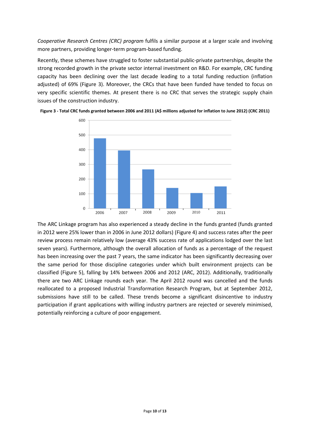*Cooperative Research Centres (CRC) program* fulfils a similar purpose at a larger scale and involving more partners, providing longer-term program-based funding.

Recently, these schemes have struggled to foster substantial public-private partnerships, despite the strong recorded growth in the private sector internal investment on R&D. For example, CRC funding capacity has been declining over the last decade leading to a total funding reduction (inflation adjusted) of 69% [\(Figure 3\)](#page-9-0). Moreover, the CRCs that have been funded have tended to focus on very specific scientific themes. At present there is no CRC that serves the strategic supply chain issues of the construction industry.



<span id="page-9-0"></span>**Figure 3 - Total CRC funds granted between 2006 and 2011 (A\$ millions adjusted for inflation to June 2012) (CRC 2011)**

The ARC Linkage program has also experienced a steady decline in the funds granted (funds granted in 2012 were 25% lower than in 2006 in June 2012 dollars) [\(Figure 4\)](#page-10-0) and success rates after the peer review process remain relatively low (average 43% success rate of applications lodged over the last seven years). Furthermore, although the overall allocation of funds as a percentage of the request has been increasing over the past 7 years, the same indicator has been significantly decreasing over the same period for those discipline categories under which built environment projects can be classified [\(Figure 5\)](#page-10-1), falling by 14% between 2006 and 2012 (ARC, 2012). Additionally, traditionally there are two ARC Linkage rounds each year. The April 2012 round was cancelled and the funds reallocated to a proposed Industrial Transformation Research Program, but at September 2012, submissions have still to be called. These trends become a significant disincentive to industry participation if grant applications with willing industry partners are rejected or severely minimised, potentially reinforcing a culture of poor engagement.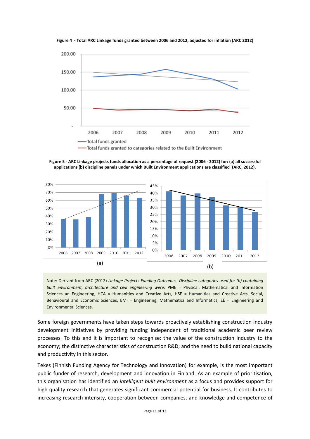<span id="page-10-0"></span>

**Figure 4 - Total ARC Linkage funds granted between 2006 and 2012, adjusted for inflation (ARC 2012)**

<span id="page-10-1"></span>**Figure 5 - ARC Linkage projects funds allocation as a percentage of request (2006 - 2012) for: (a) all successful applications (b) discipline panels under which Built Environment applications are classified (ARC, 2012).**



Note: Derived from ARC (2012) *Linkage Projects Funding Outcomes. Discipline categories used for (b) containing built environment, architecture and civil engineering were:* PME = Physical, Mathematical and Information Sciences an Engineering, HCA = Humanities and Creative Arts, HSE = Humanities and Creative Arts, Social, Behavioural and Economic Sciences, EMI = Engineering, Mathematics and Informatics, EE = Engineering and Environmental Sciences.

Some foreign governments have taken steps towards proactively establishing construction industry development initiatives by providing funding independent of traditional academic peer review processes. To this end it is important to recognise: the value of the construction industry to the economy; the distinctive characteristics of construction R&D; and the need to build national capacity and productivity in this sector.

Tekes (Finnish Funding Agency for Technology and Innovation) for example, is the most important public funder of research, development and innovation in Finland. As an example of prioritisation, this organisation has identified an *intelligent built environment* as a focus and provides support for high quality research that generates significant commercial potential for business. It contributes to increasing research intensity, cooperation between companies, and knowledge and competence of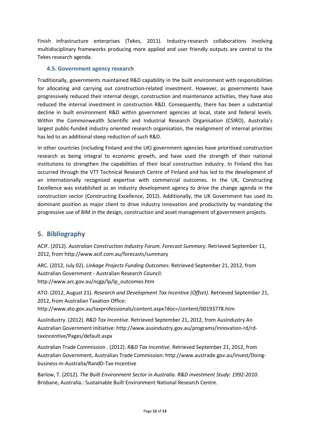Finish infrastructure enterprises (Tekes, 2011). Industry-research collaborations involving multidisciplinary frameworks producing more applied and user friendly outputs are central to the Tekes research agenda.

## **4.5. Government agency research**

Traditionally, governments maintained R&D capability in the built environment with responsibilities for allocating and carrying out construction-related investment. However, as governments have progressively reduced their internal design, construction and maintenance activities, they have also reduced the internal investment in construction R&D. Consequently, there has been a substantial decline in built environment R&D within government agencies at local, state and federal levels. Within the Commonwealth Scientific and Industrial Research Organisation (CSIRO), Australia's largest public-funded industry oriented research organisation, the realignment of internal priorities has led to an additional steep reduction of such R&D.

In other countries (including Finland and the UK) government agencies have prioritised construction research as being integral to economic growth, and have used the strength of their national institutions to strengthen the capabilities of their local construction industry. In Finland this has occurred through the VTT Technical Research Centre of Finland and has led to the development of an internationally recognised expertise with commercial outcomes. In the UK, Constructing Excellence was established as an industry development agency to drive the change agenda in the construction sector (Constructing Excellence, 2012). Additionally, the UK Government has used its dominant position as major client to drive industry innovation and productivity by mandating the progressive use of BIM in the design, construction and asset management of government projects.

## **5. Bibliography**

ACIF. (2012). *Australian Construction Industry Forum. Forecast Summary*. Retrieved September 11, 2012, from http://www.acif.com.au/forecasts/summary

ARC. (2012, July 02). *Linkage Projects Funding Outcomes*. Retrieved September 21, 2012, from Australian Government - Australian Research Council: http://www.arc.gov.au/ncgp/lp/lp\_outcomes.htm

ATO. (2012, August 21). *Research and Development Tax Incentive (Offset)*. Retrieved September 21, 2012, from Australian Taxation Office:

http://www.ato.gov.au/taxprofessionals/content.aspx?doc=/content/00193778.htm

AusIndustry. (2012). *R&D Tax Incentive*. Retrieved September 21, 2012, from AusIndustry An Australian Government Initiative: http://www.ausindustry.gov.au/programs/innovation-rd/rdtaxincentive/Pages/default.aspx

Australian Trade Commission . (2012). *R&D Tax Incentive*. Retrieved September 21, 2012, from Australian Government, Australian Trade Commission: http://www.austrade.gov.au/Invest/Doingbusiness-in-Australia/RandD-Tax-Incentive

Barlow, T. (2012). *The Built Environment Sector in Australia. R&D investment Study: 1992-2010.* Brisbane, Australia.: Sustainable Built Environment National Research Centre.